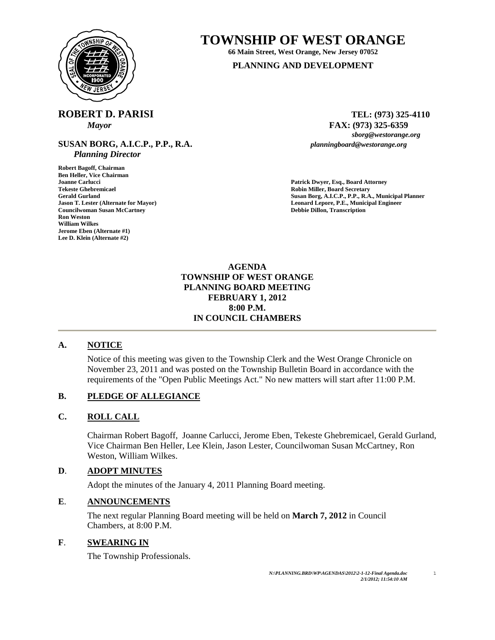

## **TOWNSHIP OF WEST ORANGE**

**66 Main Street, West Orange, New Jersey 07052 PLANNING AND DEVELOPMENT**

# **ROBERT D. PARISI** TEL: (973) 325-4110

**SUSAN BORG, A.I.C.P., P.P., R.A.** *planningboard@westorange.org Planning Director* 

**Robert Bagoff, Chairman Ben Heller, Vice Chairman Tekeste Ghebremicael Robin Miller, Board Secretary Councilwoman Susan McCartney Ron Weston William Wilkes Jerome Eben (Alternate #1) Lee D. Klein (Alternate #2)** 

*Mayor* **a FAX:** (973) 325-6359 *sborg@westorange.org sborg@westorange.org* 

Patrick Dwyer, Esq., Board Attorney **Gerald Gurland Susan Borg, A.I.C.P., P.P., R.A., Municipal Planner Jason T. Lester (Alternate for Mayor) Leonard Lepore, P.E., Municipal Engineer Councilwoman Susan McCartney Leonard Lepore, P.E., Municipal Engineer Councilwoman Susan McCartney Leonard Lepore, P.E., Municipal E** 

> **AGENDA TOWNSHIP OF WEST ORANGE PLANNING BOARD MEETING FEBRUARY 1, 2012 8:00 P.M. IN COUNCIL CHAMBERS**

### **A. NOTICE**

Notice of this meeting was given to the Township Clerk and the West Orange Chronicle on November 23, 2011 and was posted on the Township Bulletin Board in accordance with the requirements of the "Open Public Meetings Act." No new matters will start after 11:00 P.M.

### **B. PLEDGE OF ALLEGIANCE**

#### **C. ROLL CALL**

Chairman Robert Bagoff, Joanne Carlucci, Jerome Eben, Tekeste Ghebremicael, Gerald Gurland, Vice Chairman Ben Heller, Lee Klein, Jason Lester, Councilwoman Susan McCartney, Ron Weston, William Wilkes.

### **D**. **ADOPT MINUTES**

Adopt the minutes of the January 4, 2011 Planning Board meeting.

#### **E**. **ANNOUNCEMENTS**

 The next regular Planning Board meeting will be held on **March 7, 2012** in Council Chambers, at 8:00 P.M.

#### **F**. **SWEARING IN**

The Township Professionals.

1